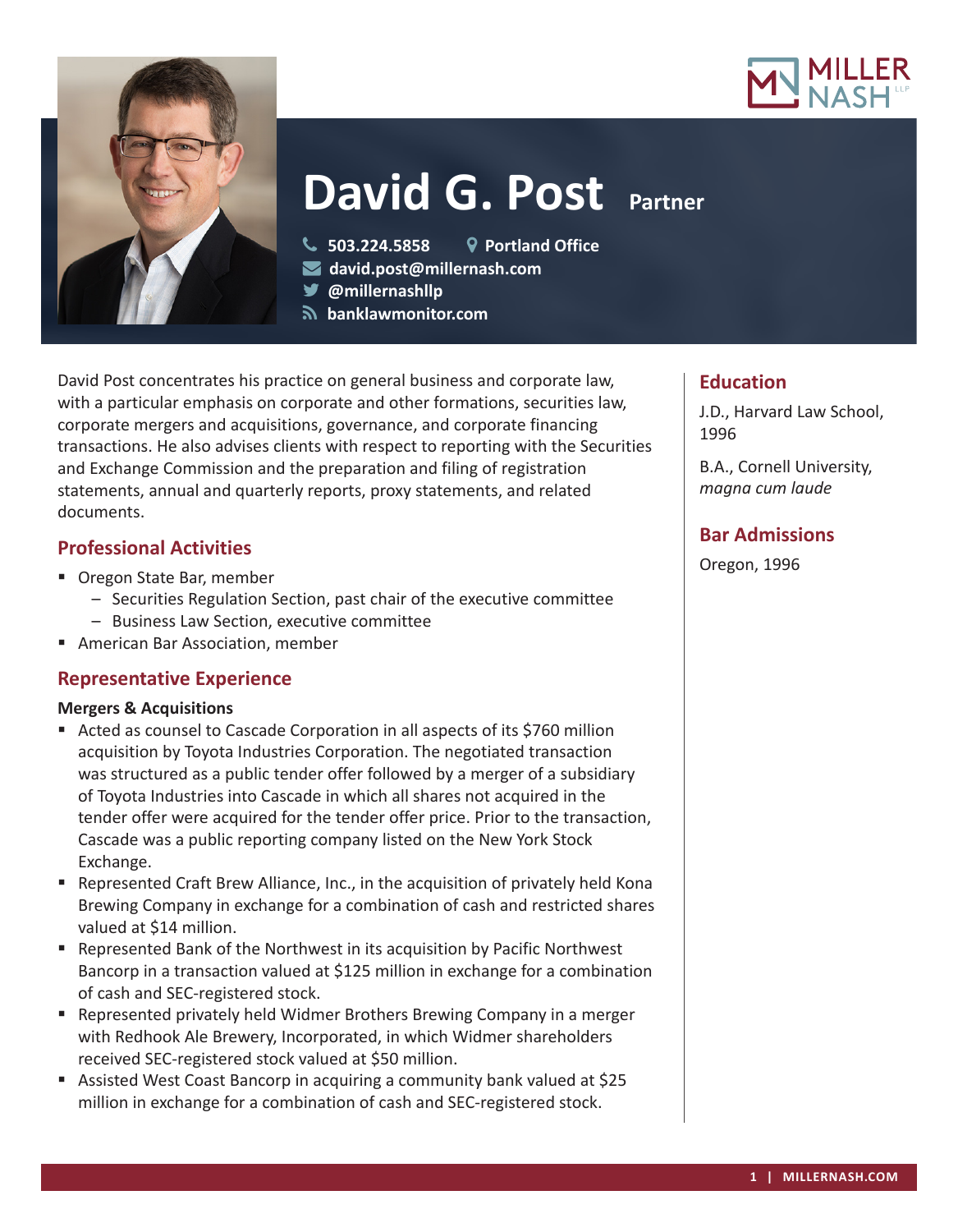



# **David G. Post Partner**

**503.224.5858 Portland Office**

- **david.post@millernash.com**
- **@millernashllp**
- **banklawmonitor.com**

David Post concentrates his practice on general business and corporate law, with a particular emphasis on corporate and other formations, securities law, corporate mergers and acquisitions, governance, and corporate financing transactions. He also advises clients with respect to reporting with the Securities and Exchange Commission and the preparation and filing of registration statements, annual and quarterly reports, proxy statements, and related documents.

## **Professional Activities**

- Oregon State Bar, member
	- Securities Regulation Section, past chair of the executive committee
	- Business Law Section, executive committee
- American Bar Association, member

### **Representative Experience**

#### **Mergers & Acquisitions**

- Acted as counsel to Cascade Corporation in all aspects of its \$760 million acquisition by Toyota Industries Corporation. The negotiated transaction was structured as a public tender offer followed by a merger of a subsidiary of Toyota Industries into Cascade in which all shares not acquired in the tender offer were acquired for the tender offer price. Prior to the transaction, Cascade was a public reporting company listed on the New York Stock Exchange.
- **•** Represented Craft Brew Alliance, Inc., in the acquisition of privately held Kona Brewing Company in exchange for a combination of cash and restricted shares valued at \$14 million.
- Represented Bank of the Northwest in its acquisition by Pacific Northwest Bancorp in a transaction valued at \$125 million in exchange for a combination of cash and SEC-registered stock.
- Represented privately held Widmer Brothers Brewing Company in a merger with Redhook Ale Brewery, Incorporated, in which Widmer shareholders received SEC-registered stock valued at \$50 million.
- Assisted West Coast Bancorp in acquiring a community bank valued at \$25 million in exchange for a combination of cash and SEC-registered stock.

# **Education**

J.D., Harvard Law School, 1996

B.A., Cornell University, *magna cum laude*

# **Bar Admissions**

Oregon, 1996